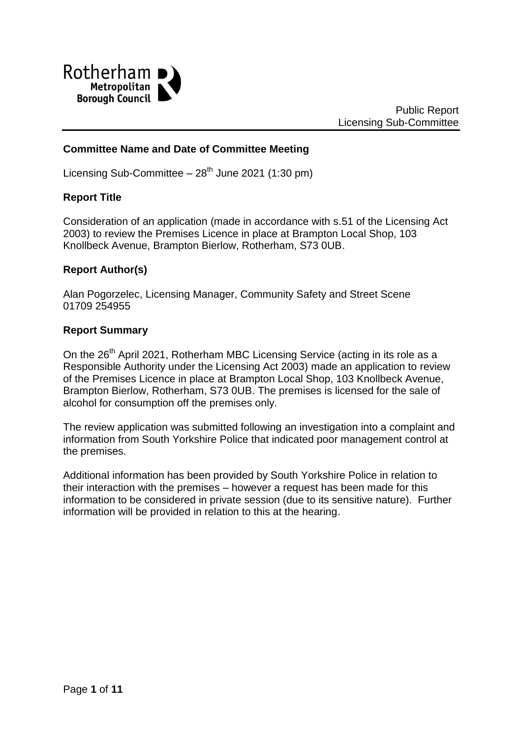

# **Committee Name and Date of Committee Meeting**

Licensing Sub-Committee  $-28^{th}$  June 2021 (1:30 pm)

#### **Report Title**

Consideration of an application (made in accordance with s.51 of the Licensing Act 2003) to review the Premises Licence in place at Brampton Local Shop, 103 Knollbeck Avenue, Brampton Bierlow, Rotherham, S73 0UB.

### **Report Author(s)**

Alan Pogorzelec, Licensing Manager, Community Safety and Street Scene 01709 254955

#### **Report Summary**

On the 26<sup>th</sup> April 2021, Rotherham MBC Licensing Service (acting in its role as a Responsible Authority under the Licensing Act 2003) made an application to review of the Premises Licence in place at Brampton Local Shop, 103 Knollbeck Avenue, Brampton Bierlow, Rotherham, S73 0UB. The premises is licensed for the sale of alcohol for consumption off the premises only.

The review application was submitted following an investigation into a complaint and information from South Yorkshire Police that indicated poor management control at the premises.

Additional information has been provided by South Yorkshire Police in relation to their interaction with the premises – however a request has been made for this information to be considered in private session (due to its sensitive nature). Further information will be provided in relation to this at the hearing.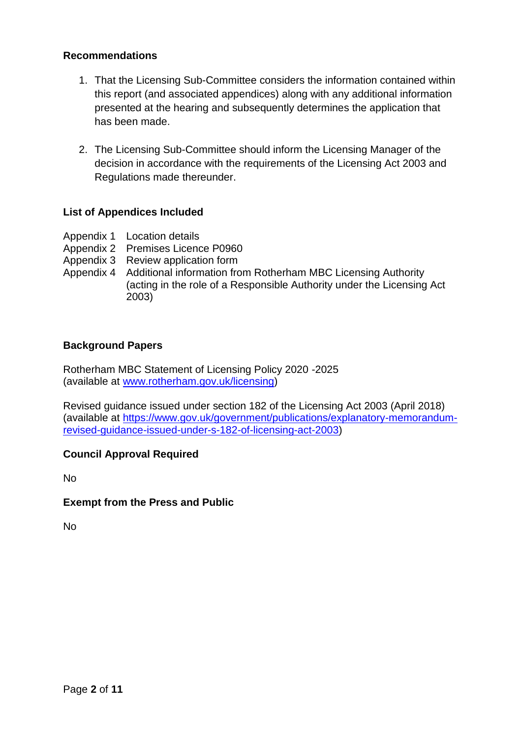## **Recommendations**

- 1. That the Licensing Sub-Committee considers the information contained within this report (and associated appendices) along with any additional information presented at the hearing and subsequently determines the application that has been made.
- 2. The Licensing Sub-Committee should inform the Licensing Manager of the decision in accordance with the requirements of the Licensing Act 2003 and Regulations made thereunder.

# **List of Appendices Included**

- Appendix 1 Location details
- Appendix 2 Premises Licence P0960
- Appendix 3 Review application form
- Appendix 4 Additional information from Rotherham MBC Licensing Authority (acting in the role of a Responsible Authority under the Licensing Act 2003)

### **Background Papers**

Rotherham MBC Statement of Licensing Policy 2020 -2025 (available at [www.rotherham.gov.uk/licensing\)](http://www.rotherham.gov.uk/licensing)

Revised guidance issued under section 182 of the Licensing Act 2003 (April 2018) (available at [https://www.gov.uk/government/publications/explanatory-memorandum](https://www.gov.uk/government/publications/explanatory-memorandum-revised-guidance-issued-under-s-182-of-licensing-act-2003)[revised-guidance-issued-under-s-182-of-licensing-act-2003\)](https://www.gov.uk/government/publications/explanatory-memorandum-revised-guidance-issued-under-s-182-of-licensing-act-2003)

### **Council Approval Required**

No

### **Exempt from the Press and Public**

No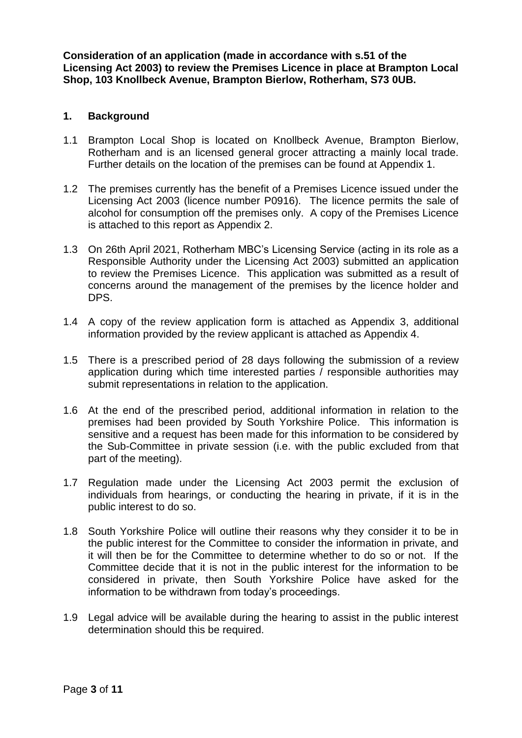**Consideration of an application (made in accordance with s.51 of the Licensing Act 2003) to review the Premises Licence in place at Brampton Local Shop, 103 Knollbeck Avenue, Brampton Bierlow, Rotherham, S73 0UB.**

#### **1. Background**

- 1.1 Brampton Local Shop is located on Knollbeck Avenue, Brampton Bierlow, Rotherham and is an licensed general grocer attracting a mainly local trade. Further details on the location of the premises can be found at Appendix 1.
- 1.2 The premises currently has the benefit of a Premises Licence issued under the Licensing Act 2003 (licence number P0916). The licence permits the sale of alcohol for consumption off the premises only. A copy of the Premises Licence is attached to this report as Appendix 2.
- 1.3 On 26th April 2021, Rotherham MBC's Licensing Service (acting in its role as a Responsible Authority under the Licensing Act 2003) submitted an application to review the Premises Licence. This application was submitted as a result of concerns around the management of the premises by the licence holder and DPS.
- 1.4 A copy of the review application form is attached as Appendix 3, additional information provided by the review applicant is attached as Appendix 4.
- 1.5 There is a prescribed period of 28 days following the submission of a review application during which time interested parties / responsible authorities may submit representations in relation to the application.
- 1.6 At the end of the prescribed period, additional information in relation to the premises had been provided by South Yorkshire Police. This information is sensitive and a request has been made for this information to be considered by the Sub-Committee in private session (i.e. with the public excluded from that part of the meeting).
- 1.7 Regulation made under the Licensing Act 2003 permit the exclusion of individuals from hearings, or conducting the hearing in private, if it is in the public interest to do so.
- 1.8 South Yorkshire Police will outline their reasons why they consider it to be in the public interest for the Committee to consider the information in private, and it will then be for the Committee to determine whether to do so or not. If the Committee decide that it is not in the public interest for the information to be considered in private, then South Yorkshire Police have asked for the information to be withdrawn from today's proceedings.
- 1.9 Legal advice will be available during the hearing to assist in the public interest determination should this be required.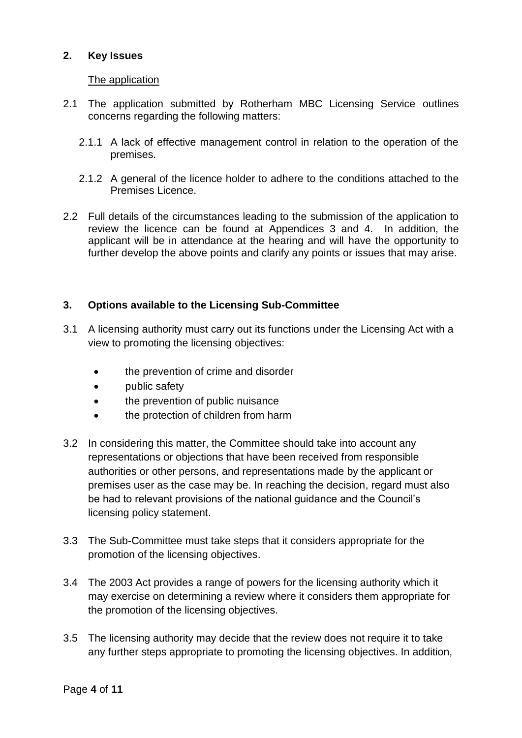# **2. Key Issues**

## The application

- 2.1 The application submitted by Rotherham MBC Licensing Service outlines concerns regarding the following matters:
	- 2.1.1 A lack of effective management control in relation to the operation of the premises.
	- 2.1.2 A general of the licence holder to adhere to the conditions attached to the Premises Licence.
- 2.2 Full details of the circumstances leading to the submission of the application to review the licence can be found at Appendices 3 and 4. In addition, the applicant will be in attendance at the hearing and will have the opportunity to further develop the above points and clarify any points or issues that may arise.

# **3. Options available to the Licensing Sub-Committee**

- 3.1 A licensing authority must carry out its functions under the Licensing Act with a view to promoting the licensing objectives:
	- the prevention of crime and disorder
	- **public safety**
	- the prevention of public nuisance
	- the protection of children from harm
- 3.2 In considering this matter, the Committee should take into account any representations or objections that have been received from responsible authorities or other persons, and representations made by the applicant or premises user as the case may be. In reaching the decision, regard must also be had to relevant provisions of the national guidance and the Council's licensing policy statement.
- 3.3 The Sub-Committee must take steps that it considers appropriate for the promotion of the licensing objectives.
- 3.4 The 2003 Act provides a range of powers for the licensing authority which it may exercise on determining a review where it considers them appropriate for the promotion of the licensing objectives.
- 3.5 The licensing authority may decide that the review does not require it to take any further steps appropriate to promoting the licensing objectives. In addition,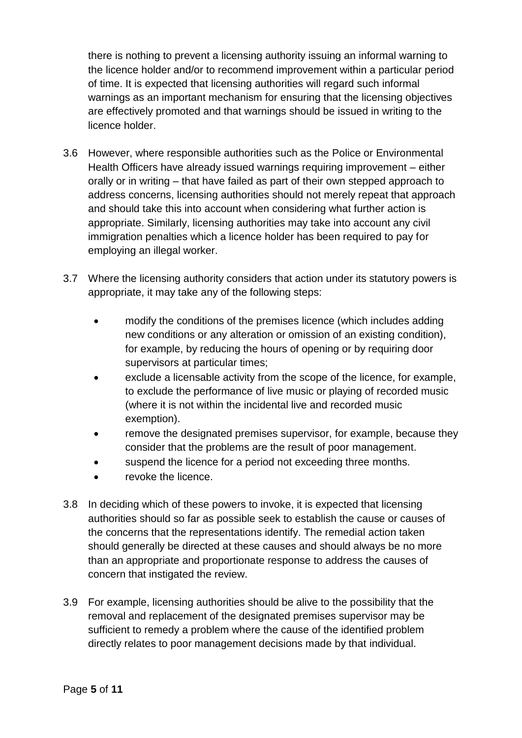there is nothing to prevent a licensing authority issuing an informal warning to the licence holder and/or to recommend improvement within a particular period of time. It is expected that licensing authorities will regard such informal warnings as an important mechanism for ensuring that the licensing objectives are effectively promoted and that warnings should be issued in writing to the licence holder.

- 3.6 However, where responsible authorities such as the Police or Environmental Health Officers have already issued warnings requiring improvement – either orally or in writing – that have failed as part of their own stepped approach to address concerns, licensing authorities should not merely repeat that approach and should take this into account when considering what further action is appropriate. Similarly, licensing authorities may take into account any civil immigration penalties which a licence holder has been required to pay for employing an illegal worker.
- 3.7 Where the licensing authority considers that action under its statutory powers is appropriate, it may take any of the following steps:
	- modify the conditions of the premises licence (which includes adding new conditions or any alteration or omission of an existing condition), for example, by reducing the hours of opening or by requiring door supervisors at particular times;
	- exclude a licensable activity from the scope of the licence, for example, to exclude the performance of live music or playing of recorded music (where it is not within the incidental live and recorded music exemption).
	- remove the designated premises supervisor, for example, because they consider that the problems are the result of poor management.
	- suspend the licence for a period not exceeding three months.
	- revoke the licence.
- 3.8 In deciding which of these powers to invoke, it is expected that licensing authorities should so far as possible seek to establish the cause or causes of the concerns that the representations identify. The remedial action taken should generally be directed at these causes and should always be no more than an appropriate and proportionate response to address the causes of concern that instigated the review.
- 3.9 For example, licensing authorities should be alive to the possibility that the removal and replacement of the designated premises supervisor may be sufficient to remedy a problem where the cause of the identified problem directly relates to poor management decisions made by that individual.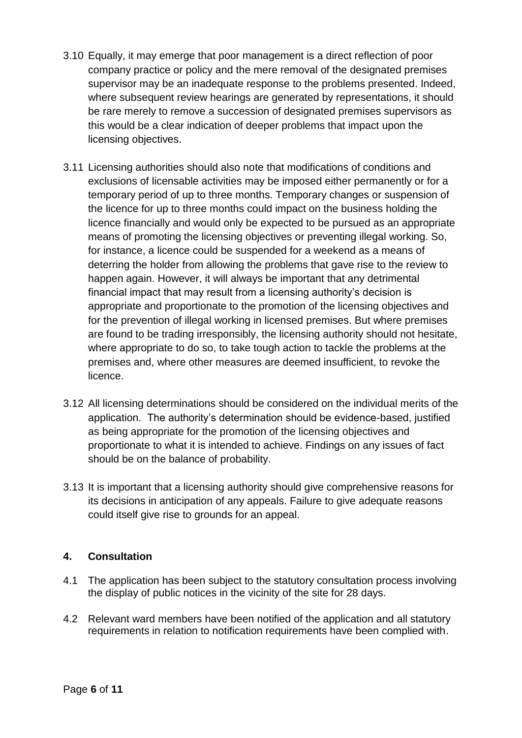- 3.10 Equally, it may emerge that poor management is a direct reflection of poor company practice or policy and the mere removal of the designated premises supervisor may be an inadequate response to the problems presented. Indeed, where subsequent review hearings are generated by representations, it should be rare merely to remove a succession of designated premises supervisors as this would be a clear indication of deeper problems that impact upon the licensing objectives.
- 3.11 Licensing authorities should also note that modifications of conditions and exclusions of licensable activities may be imposed either permanently or for a temporary period of up to three months. Temporary changes or suspension of the licence for up to three months could impact on the business holding the licence financially and would only be expected to be pursued as an appropriate means of promoting the licensing objectives or preventing illegal working. So, for instance, a licence could be suspended for a weekend as a means of deterring the holder from allowing the problems that gave rise to the review to happen again. However, it will always be important that any detrimental financial impact that may result from a licensing authority's decision is appropriate and proportionate to the promotion of the licensing objectives and for the prevention of illegal working in licensed premises. But where premises are found to be trading irresponsibly, the licensing authority should not hesitate, where appropriate to do so, to take tough action to tackle the problems at the premises and, where other measures are deemed insufficient, to revoke the licence.
- 3.12 All licensing determinations should be considered on the individual merits of the application. The authority's determination should be evidence-based, justified as being appropriate for the promotion of the licensing objectives and proportionate to what it is intended to achieve. Findings on any issues of fact should be on the balance of probability.
- 3.13 It is important that a licensing authority should give comprehensive reasons for its decisions in anticipation of any appeals. Failure to give adequate reasons could itself give rise to grounds for an appeal.

# **4. Consultation**

- 4.1 The application has been subject to the statutory consultation process involving the display of public notices in the vicinity of the site for 28 days.
- 4.2 Relevant ward members have been notified of the application and all statutory requirements in relation to notification requirements have been complied with.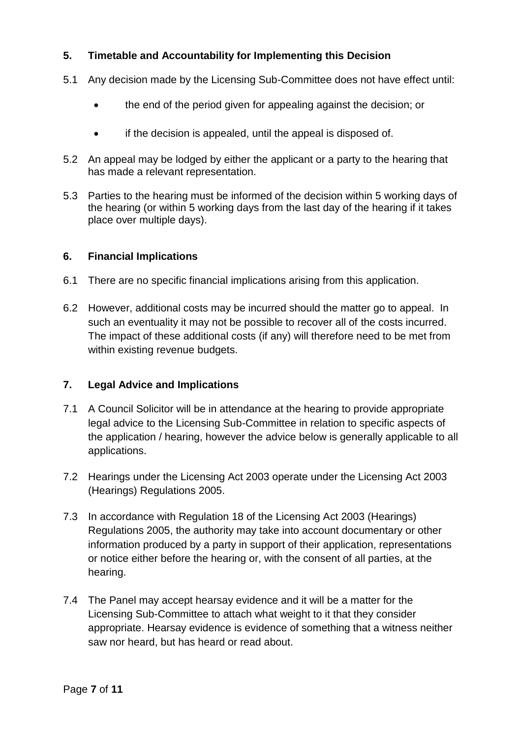# **5. Timetable and Accountability for Implementing this Decision**

- 5.1 Any decision made by the Licensing Sub-Committee does not have effect until:
	- the end of the period given for appealing against the decision; or
	- if the decision is appealed, until the appeal is disposed of.
- 5.2 An appeal may be lodged by either the applicant or a party to the hearing that has made a relevant representation.
- 5.3 Parties to the hearing must be informed of the decision within 5 working days of the hearing (or within 5 working days from the last day of the hearing if it takes place over multiple days).

### **6. Financial Implications**

- 6.1 There are no specific financial implications arising from this application.
- 6.2 However, additional costs may be incurred should the matter go to appeal. In such an eventuality it may not be possible to recover all of the costs incurred. The impact of these additional costs (if any) will therefore need to be met from within existing revenue budgets.

### **7. Legal Advice and Implications**

- 7.1 A Council Solicitor will be in attendance at the hearing to provide appropriate legal advice to the Licensing Sub-Committee in relation to specific aspects of the application / hearing, however the advice below is generally applicable to all applications.
- 7.2 Hearings under the Licensing Act 2003 operate under the Licensing Act 2003 (Hearings) Regulations 2005.
- 7.3 In accordance with Regulation 18 of the Licensing Act 2003 (Hearings) Regulations 2005, the authority may take into account documentary or other information produced by a party in support of their application, representations or notice either before the hearing or, with the consent of all parties, at the hearing.
- 7.4 The Panel may accept hearsay evidence and it will be a matter for the Licensing Sub-Committee to attach what weight to it that they consider appropriate. Hearsay evidence is evidence of something that a witness neither saw nor heard, but has heard or read about.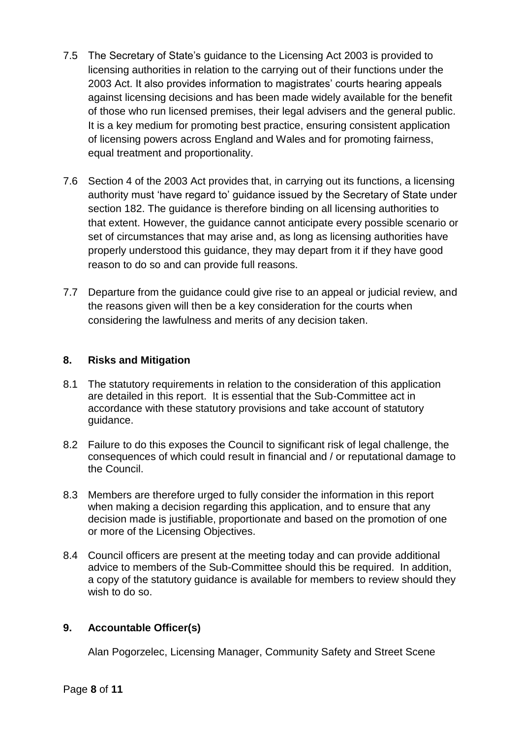- 7.5 The Secretary of State's guidance to the Licensing Act 2003 is provided to licensing authorities in relation to the carrying out of their functions under the 2003 Act. It also provides information to magistrates' courts hearing appeals against licensing decisions and has been made widely available for the benefit of those who run licensed premises, their legal advisers and the general public. It is a key medium for promoting best practice, ensuring consistent application of licensing powers across England and Wales and for promoting fairness, equal treatment and proportionality.
- 7.6 Section 4 of the 2003 Act provides that, in carrying out its functions, a licensing authority must 'have regard to' guidance issued by the Secretary of State under section 182. The guidance is therefore binding on all licensing authorities to that extent. However, the guidance cannot anticipate every possible scenario or set of circumstances that may arise and, as long as licensing authorities have properly understood this guidance, they may depart from it if they have good reason to do so and can provide full reasons.
- 7.7 Departure from the guidance could give rise to an appeal or judicial review, and the reasons given will then be a key consideration for the courts when considering the lawfulness and merits of any decision taken.

# **8. Risks and Mitigation**

- 8.1 The statutory requirements in relation to the consideration of this application are detailed in this report. It is essential that the Sub-Committee act in accordance with these statutory provisions and take account of statutory guidance.
- 8.2 Failure to do this exposes the Council to significant risk of legal challenge, the consequences of which could result in financial and / or reputational damage to the Council.
- 8.3 Members are therefore urged to fully consider the information in this report when making a decision regarding this application, and to ensure that any decision made is justifiable, proportionate and based on the promotion of one or more of the Licensing Objectives.
- 8.4 Council officers are present at the meeting today and can provide additional advice to members of the Sub-Committee should this be required. In addition, a copy of the statutory guidance is available for members to review should they wish to do so.

# **9. Accountable Officer(s)**

Alan Pogorzelec, Licensing Manager, Community Safety and Street Scene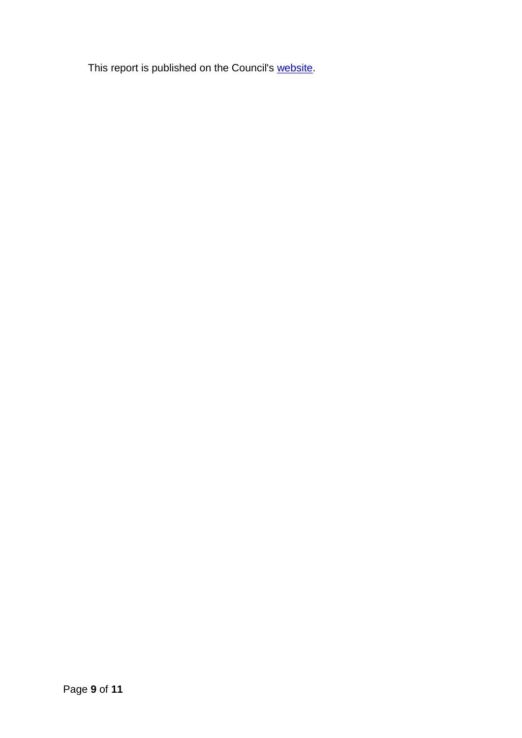This report is published on the Council's [website.](https://moderngov.rotherham.gov.uk/ieDocHome.aspx?Categories=)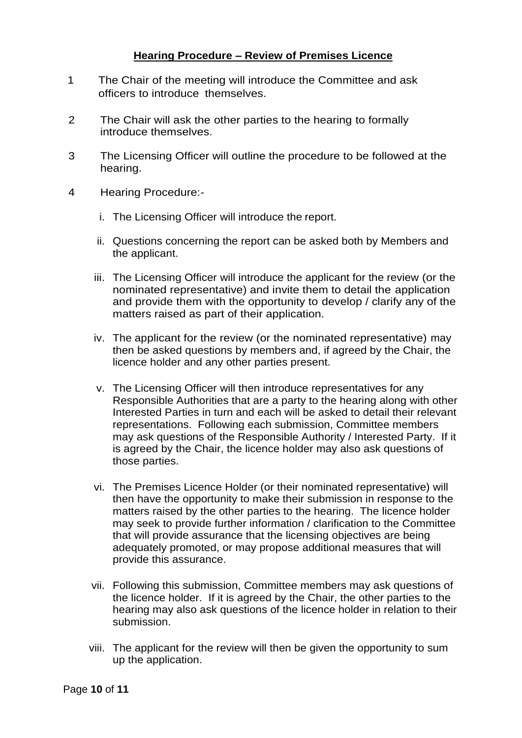# **Hearing Procedure – Review of Premises Licence**

- 1 The Chair of the meeting will introduce the Committee and ask officers to introduce themselves.
- 2 The Chair will ask the other parties to the hearing to formally introduce themselves.
- 3 The Licensing Officer will outline the procedure to be followed at the hearing.
- 4 Hearing Procedure:
	- i. The Licensing Officer will introduce the report.
	- ii. Questions concerning the report can be asked both by Members and the applicant.
	- iii. The Licensing Officer will introduce the applicant for the review (or the nominated representative) and invite them to detail the application and provide them with the opportunity to develop / clarify any of the matters raised as part of their application.
	- iv. The applicant for the review (or the nominated representative) may then be asked questions by members and, if agreed by the Chair, the licence holder and any other parties present.
	- v. The Licensing Officer will then introduce representatives for any Responsible Authorities that are a party to the hearing along with other Interested Parties in turn and each will be asked to detail their relevant representations. Following each submission, Committee members may ask questions of the Responsible Authority / Interested Party. If it is agreed by the Chair, the licence holder may also ask questions of those parties.
	- vi. The Premises Licence Holder (or their nominated representative) will then have the opportunity to make their submission in response to the matters raised by the other parties to the hearing. The licence holder may seek to provide further information / clarification to the Committee that will provide assurance that the licensing objectives are being adequately promoted, or may propose additional measures that will provide this assurance.
	- vii. Following this submission, Committee members may ask questions of the licence holder. If it is agreed by the Chair, the other parties to the hearing may also ask questions of the licence holder in relation to their submission.
	- viii. The applicant for the review will then be given the opportunity to sum up the application.